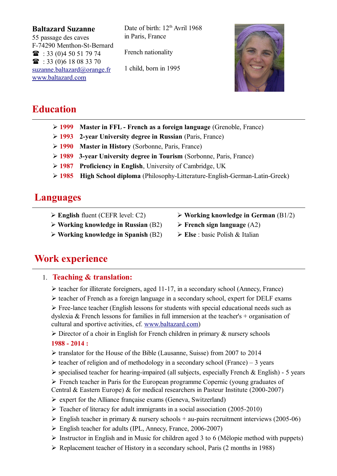#### **Baltazard Suzanne**

55 passage des caves F-74290 Menthon-St-Bernard  $\textbf{R}$  : 33 (0)4 50 51 79 74  $\mathbf{R}$  : 33 (0) 6 18 08 33 70 suzanne.baltazard@orange.fr www.baltazard.com

Date of birth:  $12<sup>th</sup>$  Avril 1968 in Paris, France

French nationality

1 child, born in 1995



# **Education**

- Ø **1999 Master in FFL French as a foreign language** (Grenoble, France)
- Ø **1993 2-year University degree in Russian** (Paris, France)
- Ø **1990 Master in History** (Sorbonne, Paris, France)
- Ø **1989 3-year University degree in Tourism** (Sorbonne, Paris, France)
- Ø **1987 Proficiency in English**, University of Cambridge, UK
- Ø **1985 High School diploma** (Philosophy-Litterature-English-German-Latin-Greek)

# **Languages**

- Ø **English** fluent (CEFR level: C2)
- Ø **Working knowledge in Russian** (B2)
- Ø **Working knowledge in Spanish** (B2)
- Ø **Working knowledge in German** (B1/2)
- Ø **French sign language** (A2)
- Ø **Else** : basic Polish & Italian

# **Work experience**

## 1. **Teaching & translation:**

- $\triangleright$  teacher for illiterate foreigners, aged 11-17, in a secondary school (Annecy, France)
- $\triangleright$  teacher of French as a foreign language in a secondary school, expert for DELF exams

 $\triangleright$  Free-lance teacher (English lessons for students with special educational needs such as dyslexia  $\&$  French lessons for families in full immersion at the teacher's + organisation of cultural and sportive activities, cf. [www.baltazard.com\)](http://www.baltazard.com/)

 $\triangleright$  Director of a choir in English for French children in primary & nursery schools **1988 - 2014 :**

- Ø translator for the House of the Bible (Lausanne, Suisse) from 2007 to 2014
- $\triangleright$  teacher of religion and of methodology in a secondary school (France) 3 years
- $\triangleright$  specialised teacher for hearing-impaired (all subjects, especially French & English) 5 years
- $\triangleright$  French teacher in Paris for the European programme Copernic (voung graduates of
- Central & Eastern Europe) & for medical researchers in Pasteur Institute (2000-2007)
- $\triangleright$  expert for the Alliance française exams (Geneva, Switzerland)
- $\triangleright$  Teacher of literacy for adult immigrants in a social association (2005-2010)
- $\triangleright$  English teacher in primary & nursery schools + au-pairs recruitment interviews (2005-06)
- English teacher for adults (IPL, Annecy, France, 2006-2007)
- $\triangleright$  Instructor in English and in Music for children aged 3 to 6 (Mélopie method with puppets)
- $\triangleright$  Replacement teacher of History in a secondary school, Paris (2 months in 1988)